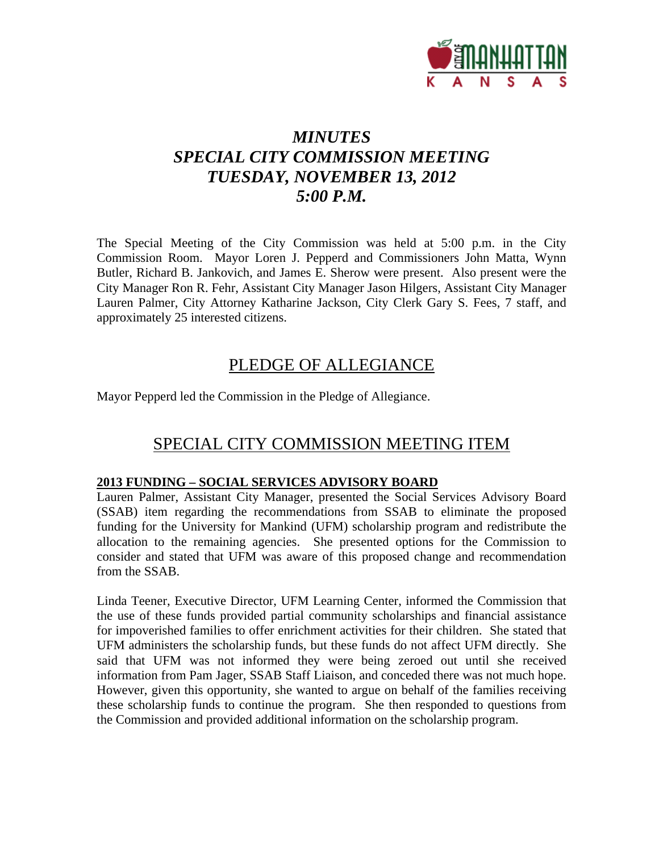

# *MINUTES SPECIAL CITY COMMISSION MEETING TUESDAY, NOVEMBER 13, 2012 5:00 P.M.*

The Special Meeting of the City Commission was held at 5:00 p.m. in the City Commission Room. Mayor Loren J. Pepperd and Commissioners John Matta, Wynn Butler, Richard B. Jankovich, and James E. Sherow were present. Also present were the City Manager Ron R. Fehr, Assistant City Manager Jason Hilgers, Assistant City Manager Lauren Palmer, City Attorney Katharine Jackson, City Clerk Gary S. Fees, 7 staff, and approximately 25 interested citizens.

### PLEDGE OF ALLEGIANCE

Mayor Pepperd led the Commission in the Pledge of Allegiance.

## SPECIAL CITY COMMISSION MEETING ITEM

#### **2013 FUNDING – SOCIAL SERVICES ADVISORY BOARD**

Lauren Palmer, Assistant City Manager, presented the Social Services Advisory Board (SSAB) item regarding the recommendations from SSAB to eliminate the proposed funding for the University for Mankind (UFM) scholarship program and redistribute the allocation to the remaining agencies. She presented options for the Commission to consider and stated that UFM was aware of this proposed change and recommendation from the SSAB.

Linda Teener, Executive Director, UFM Learning Center, informed the Commission that the use of these funds provided partial community scholarships and financial assistance for impoverished families to offer enrichment activities for their children. She stated that UFM administers the scholarship funds, but these funds do not affect UFM directly. She said that UFM was not informed they were being zeroed out until she received information from Pam Jager, SSAB Staff Liaison, and conceded there was not much hope. However, given this opportunity, she wanted to argue on behalf of the families receiving these scholarship funds to continue the program. She then responded to questions from the Commission and provided additional information on the scholarship program.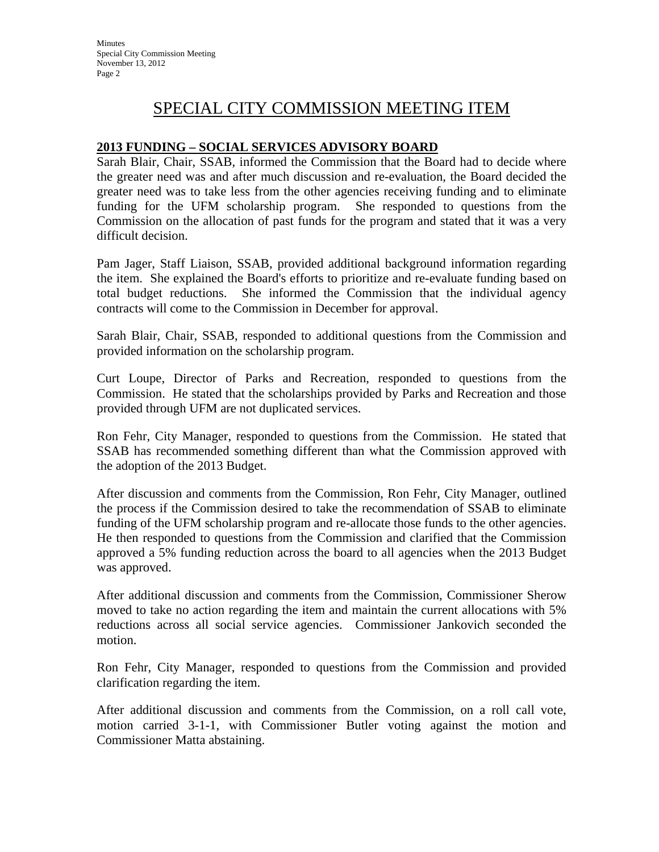## SPECIAL CITY COMMISSION MEETING ITEM

#### **2013 FUNDING – SOCIAL SERVICES ADVISORY BOARD**

Sarah Blair, Chair, SSAB, informed the Commission that the Board had to decide where the greater need was and after much discussion and re-evaluation, the Board decided the greater need was to take less from the other agencies receiving funding and to eliminate funding for the UFM scholarship program. She responded to questions from the Commission on the allocation of past funds for the program and stated that it was a very difficult decision.

Pam Jager, Staff Liaison, SSAB, provided additional background information regarding the item. She explained the Board's efforts to prioritize and re-evaluate funding based on total budget reductions. She informed the Commission that the individual agency contracts will come to the Commission in December for approval.

Sarah Blair, Chair, SSAB, responded to additional questions from the Commission and provided information on the scholarship program.

Curt Loupe, Director of Parks and Recreation, responded to questions from the Commission. He stated that the scholarships provided by Parks and Recreation and those provided through UFM are not duplicated services.

Ron Fehr, City Manager, responded to questions from the Commission. He stated that SSAB has recommended something different than what the Commission approved with the adoption of the 2013 Budget.

After discussion and comments from the Commission, Ron Fehr, City Manager, outlined the process if the Commission desired to take the recommendation of SSAB to eliminate funding of the UFM scholarship program and re-allocate those funds to the other agencies. He then responded to questions from the Commission and clarified that the Commission approved a 5% funding reduction across the board to all agencies when the 2013 Budget was approved.

After additional discussion and comments from the Commission, Commissioner Sherow moved to take no action regarding the item and maintain the current allocations with 5% reductions across all social service agencies. Commissioner Jankovich seconded the motion.

Ron Fehr, City Manager, responded to questions from the Commission and provided clarification regarding the item.

After additional discussion and comments from the Commission, on a roll call vote, motion carried 3-1-1, with Commissioner Butler voting against the motion and Commissioner Matta abstaining.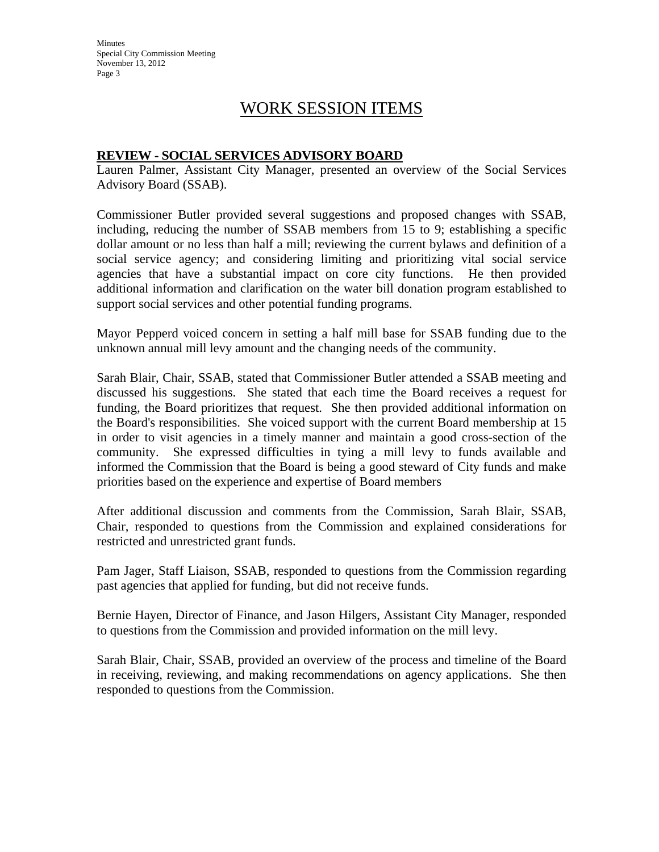Minutes Special City Commission Meeting November 13, 2012 Page 3

### WORK SESSION ITEMS

#### **REVIEW - SOCIAL SERVICES ADVISORY BOARD**

Lauren Palmer, Assistant City Manager, presented an overview of the Social Services Advisory Board (SSAB).

Commissioner Butler provided several suggestions and proposed changes with SSAB, including, reducing the number of SSAB members from 15 to 9; establishing a specific dollar amount or no less than half a mill; reviewing the current bylaws and definition of a social service agency; and considering limiting and prioritizing vital social service agencies that have a substantial impact on core city functions. He then provided additional information and clarification on the water bill donation program established to support social services and other potential funding programs.

Mayor Pepperd voiced concern in setting a half mill base for SSAB funding due to the unknown annual mill levy amount and the changing needs of the community.

Sarah Blair, Chair, SSAB, stated that Commissioner Butler attended a SSAB meeting and discussed his suggestions. She stated that each time the Board receives a request for funding, the Board prioritizes that request. She then provided additional information on the Board's responsibilities. She voiced support with the current Board membership at 15 in order to visit agencies in a timely manner and maintain a good cross-section of the community. She expressed difficulties in tying a mill levy to funds available and informed the Commission that the Board is being a good steward of City funds and make priorities based on the experience and expertise of Board members

After additional discussion and comments from the Commission, Sarah Blair, SSAB, Chair, responded to questions from the Commission and explained considerations for restricted and unrestricted grant funds.

Pam Jager, Staff Liaison, SSAB, responded to questions from the Commission regarding past agencies that applied for funding, but did not receive funds.

Bernie Hayen, Director of Finance, and Jason Hilgers, Assistant City Manager, responded to questions from the Commission and provided information on the mill levy.

Sarah Blair, Chair, SSAB, provided an overview of the process and timeline of the Board in receiving, reviewing, and making recommendations on agency applications. She then responded to questions from the Commission.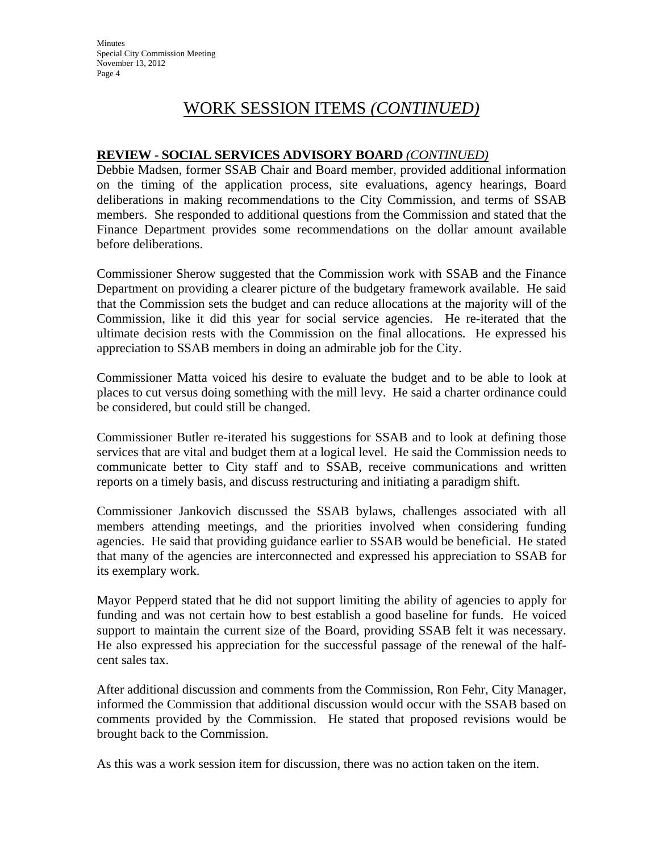# WORK SESSION ITEMS *(CONTINUED)*

#### **REVIEW - SOCIAL SERVICES ADVISORY BOARD** *(CONTINUED)*

Debbie Madsen, former SSAB Chair and Board member, provided additional information on the timing of the application process, site evaluations, agency hearings, Board deliberations in making recommendations to the City Commission, and terms of SSAB members. She responded to additional questions from the Commission and stated that the Finance Department provides some recommendations on the dollar amount available before deliberations.

Commissioner Sherow suggested that the Commission work with SSAB and the Finance Department on providing a clearer picture of the budgetary framework available. He said that the Commission sets the budget and can reduce allocations at the majority will of the Commission, like it did this year for social service agencies. He re-iterated that the ultimate decision rests with the Commission on the final allocations. He expressed his appreciation to SSAB members in doing an admirable job for the City.

Commissioner Matta voiced his desire to evaluate the budget and to be able to look at places to cut versus doing something with the mill levy. He said a charter ordinance could be considered, but could still be changed.

Commissioner Butler re-iterated his suggestions for SSAB and to look at defining those services that are vital and budget them at a logical level. He said the Commission needs to communicate better to City staff and to SSAB, receive communications and written reports on a timely basis, and discuss restructuring and initiating a paradigm shift.

Commissioner Jankovich discussed the SSAB bylaws, challenges associated with all members attending meetings, and the priorities involved when considering funding agencies. He said that providing guidance earlier to SSAB would be beneficial. He stated that many of the agencies are interconnected and expressed his appreciation to SSAB for its exemplary work.

Mayor Pepperd stated that he did not support limiting the ability of agencies to apply for funding and was not certain how to best establish a good baseline for funds. He voiced support to maintain the current size of the Board, providing SSAB felt it was necessary. He also expressed his appreciation for the successful passage of the renewal of the halfcent sales tax.

After additional discussion and comments from the Commission, Ron Fehr, City Manager, informed the Commission that additional discussion would occur with the SSAB based on comments provided by the Commission. He stated that proposed revisions would be brought back to the Commission.

As this was a work session item for discussion, there was no action taken on the item.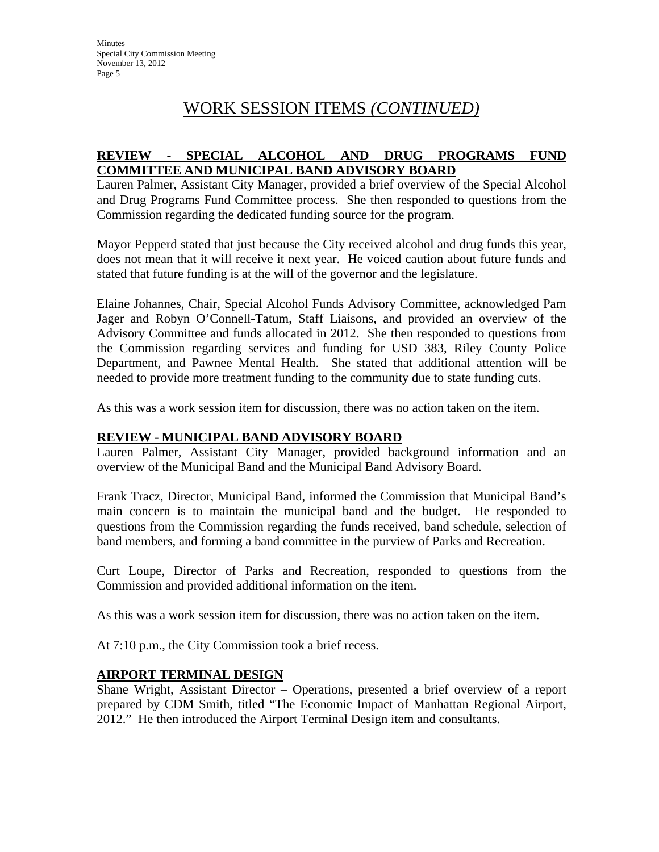# WORK SESSION ITEMS *(CONTINUED)*

#### **REVIEW - SPECIAL ALCOHOL AND DRUG PROGRAMS FUND COMMITTEE AND MUNICIPAL BAND ADVISORY BOARD**

Lauren Palmer, Assistant City Manager, provided a brief overview of the Special Alcohol and Drug Programs Fund Committee process. She then responded to questions from the Commission regarding the dedicated funding source for the program.

Mayor Pepperd stated that just because the City received alcohol and drug funds this year, does not mean that it will receive it next year. He voiced caution about future funds and stated that future funding is at the will of the governor and the legislature.

Elaine Johannes, Chair, Special Alcohol Funds Advisory Committee, acknowledged Pam Jager and Robyn O'Connell-Tatum, Staff Liaisons, and provided an overview of the Advisory Committee and funds allocated in 2012. She then responded to questions from the Commission regarding services and funding for USD 383, Riley County Police Department, and Pawnee Mental Health. She stated that additional attention will be needed to provide more treatment funding to the community due to state funding cuts.

As this was a work session item for discussion, there was no action taken on the item.

#### **REVIEW - MUNICIPAL BAND ADVISORY BOARD**

Lauren Palmer, Assistant City Manager, provided background information and an overview of the Municipal Band and the Municipal Band Advisory Board.

Frank Tracz, Director, Municipal Band, informed the Commission that Municipal Band's main concern is to maintain the municipal band and the budget. He responded to questions from the Commission regarding the funds received, band schedule, selection of band members, and forming a band committee in the purview of Parks and Recreation.

Curt Loupe, Director of Parks and Recreation, responded to questions from the Commission and provided additional information on the item.

As this was a work session item for discussion, there was no action taken on the item.

At 7:10 p.m., the City Commission took a brief recess.

#### **AIRPORT TERMINAL DESIGN**

Shane Wright, Assistant Director – Operations, presented a brief overview of a report prepared by CDM Smith, titled "The Economic Impact of Manhattan Regional Airport, 2012." He then introduced the Airport Terminal Design item and consultants.